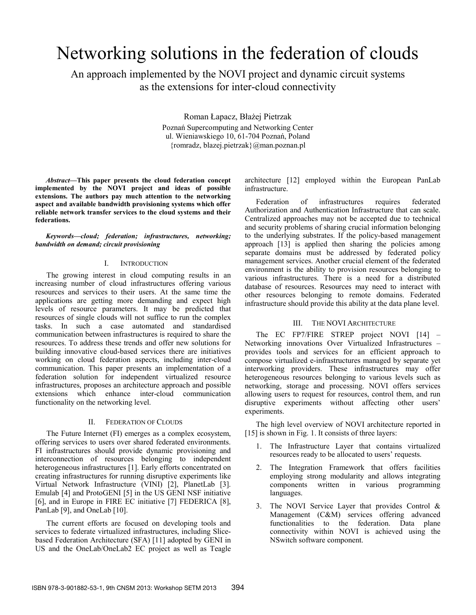# Networking solutions in the federation of clouds

An approach implemented by the NOVI project and dynamic circuit systems as the extensions for inter-cloud connectivity

> Roman Łapacz, Błażej Pietrzak Poznań Supercomputing and Networking Center ul. Wieniawskiego 10, 61-704 Poznań, Poland {romradz, blazej.pietrzak}@man.poznan.pl

*Abstract***—This paper presents the cloud federation concept implemented by the NOVI project and ideas of possible extensions. The authors pay much attention to the networking aspect and available bandwidth provisioning systems which offer reliable network transfer services to the cloud systems and their federations.**

*Keywords—cloud; federation; infrastructures, networking; bandwidth on demand; circuit provisioning* 

## I. INTRODUCTION

The growing interest in cloud computing results in an increasing number of cloud infrastructures offering various resources and services to their users. At the same time the applications are getting more demanding and expect high levels of resource parameters. It may be predicted that resources of single clouds will not suffice to run the complex tasks. In such a case automated and standardised communication between infrastructures is required to share the resources. To address these trends and offer new solutions for building innovative cloud-based services there are initiatives working on cloud federation aspects, including inter-cloud communication. This paper presents an implementation of a federation solution for independent virtualized resource infrastructures, proposes an architecture approach and possible extensions which enhance inter-cloud communication functionality on the networking level.

## II. FEDERATION OF CLOUDS

The Future Internet (FI) emerges as a complex ecosystem, offering services to users over shared federated environments. FI infrastructures should provide dynamic provisioning and interconnection of resources belonging to independent heterogeneous infrastructures [1]. Early efforts concentrated on creating infrastructures for running disruptive experiments like Virtual Network Infrastructure (VINI) [2], PlanetLab [3]. Emulab [4] and ProtoGENI [5] in the US GENI NSF initiative [6], and in Europe in FIRE EC initiative [7] FEDERICA [8], PanLab [9], and OneLab [10].

The current efforts are focused on developing tools and services to federate virtualized infrastructures, including Slicebased Federation Architecture (SFA) [11] adopted by GENI in US and the OneLab/OneLab2 EC project as well as Teagle

architecture [12] employed within the European PanLab infrastructure.

Federation of infrastructures requires federated Authorization and Authentication Infrastructure that can scale. Centralized approaches may not be accepted due to technical and security problems of sharing crucial information belonging to the underlying substrates. If the policy-based management approach [13] is applied then sharing the policies among separate domains must be addressed by federated policy management services. Another crucial element of the federated environment is the ability to provision resources belonging to various infrastructures. There is a need for a distributed database of resources. Resources may need to interact with other resources belonging to remote domains. Federated infrastructure should provide this ability at the data plane level.

## III. THE NOVI ARCHITECTURE

The EC FP7/FIRE STREP project NOVI [14] – Networking innovations Over Virtualized Infrastructures – provides tools and services for an efficient approach to compose virtualized e-infrastructures managed by separate yet interworking providers. These infrastructures may offer heterogeneous resources belonging to various levels such as networking, storage and processing. NOVI offers services allowing users to request for resources, control them, and run disruptive experiments without affecting other users' experiments.

The high level overview of NOVI architecture reported in [15] is shown in Fig. 1. It consists of three layers:

- 1. The Infrastructure Layer that contains virtualized resources ready to be allocated to users' requests.
- 2. The Integration Framework that offers facilities employing strong modularity and allows integrating components written in various programming languages.
- 3. The NOVI Service Layer that provides Control & Management (C&M) services offering advanced functionalities to the federation. Data plane connectivity within NOVI is achieved using the NSwitch software component.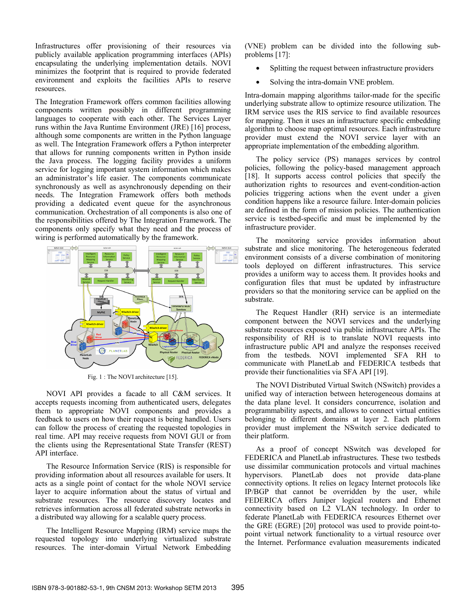Infrastructures offer provisioning of their resources via publicly available application programming interfaces (APIs) encapsulating the underlying implementation details. NOVI minimizes the footprint that is required to provide federated environment and exploits the facilities APIs to reserve resources.

The Integration Framework offers common facilities allowing components written possibly in different programming languages to cooperate with each other. The Services Layer runs within the Java Runtime Environment (JRE) [16] process, although some components are written in the Python language as well. The Integration Framework offers a Python interpreter that allows for running components written in Python inside the Java process. The logging facility provides a uniform service for logging important system information which makes an administrator's life easier. The components communicate synchronously as well as asynchronously depending on their needs. The Integration Framework offers both methods providing a dedicated event queue for the asynchronous communication. Orchestration of all components is also one of the responsibilities offered by The Integration Framework. The components only specify what they need and the process of wiring is performed automatically by the framework.



Fig. 1 : The NOVI architecture [15].

NOVI API provides a facade to all C&M services. It accepts requests incoming from authenticated users, delegates them to appropriate NOVI components and provides a feedback to users on how their request is being handled. Users can follow the process of creating the requested topologies in real time. API may receive requests from NOVI GUI or from the clients using the Representational State Transfer (REST) API interface.

The Resource Information Service (RIS) is responsible for providing information about all resources available for users. It acts as a single point of contact for the whole NOVI service layer to acquire information about the status of virtual and substrate resources. The resource discovery locates and retrieves information across all federated substrate networks in a distributed way allowing for a scalable query process.

The Intelligent Resource Mapping (IRM) service maps the requested topology into underlying virtualized substrate resources. The inter-domain Virtual Network Embedding (VNE) problem can be divided into the following subproblems [17]:

- Splitting the request between infrastructure providers
- Solving the intra-domain VNE problem.

Intra-domain mapping algorithms tailor-made for the specific underlying substrate allow to optimize resource utilization. The IRM service uses the RIS service to find available resources for mapping. Then it uses an infrastructure specific embedding algorithm to choose map optimal resources. Each infrastructure provider must extend the NOVI service layer with an appropriate implementation of the embedding algorithm.

The policy service (PS) manages services by control policies, following the policy-based management approach [18]. It supports access control policies that specify the authorization rights to resources and event-condition-action policies triggering actions when the event under a given condition happens like a resource failure. Inter-domain policies are defined in the form of mission policies. The authentication service is testbed-specific and must be implemented by the infrastructure provider.

The monitoring service provides information about substrate and slice monitoring. The heterogeneous federated environment consists of a diverse combination of monitoring tools deployed on different infrastructures. This service provides a uniform way to access them. It provides hooks and configuration files that must be updated by infrastructure providers so that the monitoring service can be applied on the substrate.

The Request Handler (RH) service is an intermediate component between the NOVI services and the underlying substrate resources exposed via public infrastructure APIs. The responsibility of RH is to translate NOVI requests into infrastructure public API and analyze the responses received from the testbeds. NOVI implemented SFA RH to communicate with PlanetLab and FEDERICA testbeds that provide their functionalities via SFA API [19].

The NOVI Distributed Virtual Switch (NSwitch) provides a unified way of interaction between heterogeneous domains at the data plane level. It considers concurrence, isolation and programmability aspects, and allows to connect virtual entities belonging to different domains at layer 2. Each platform provider must implement the NSwitch service dedicated to their platform.

As a proof of concept NSwitch was developed for FEDERICA and PlanetLab infrastructures. These two testbeds use dissimilar communication protocols and virtual machines hypervisors. PlanetLab does not provide data-plane connectivity options. It relies on legacy Internet protocols like IP/BGP that cannot be overridden by the user, while FEDERICA offers Juniper logical routers and Ethernet connectivity based on L2 VLAN technology. In order to federate PlanetLab with FEDERICA resources Ethernet over the GRE (EGRE) [20] protocol was used to provide point-topoint virtual network functionality to a virtual resource over the Internet. Performance evaluation measurements indicated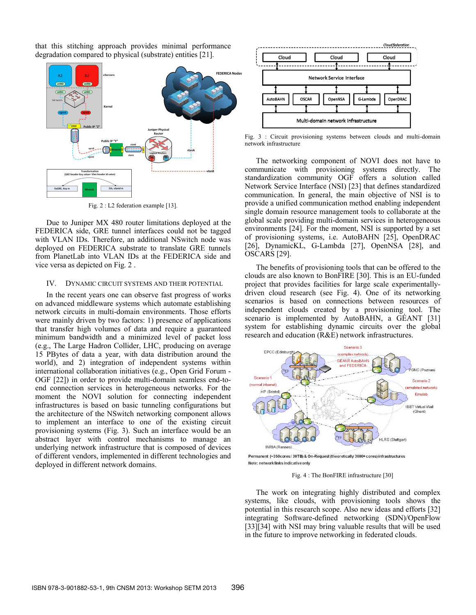that this stitching approach provides minimal performance degradation compared to physical (substrate) entities [21].



Fig. 2 : L2 federation example [13].

Due to Juniper MX 480 router limitations deployed at the FEDERICA side, GRE tunnel interfaces could not be tagged with VLAN IDs. Therefore, an additional NSwitch node was deployed on FEDERICA substrate to translate GRE tunnels from PlanetLab into VLAN IDs at the FEDERICA side and vice versa as depicted on Fig. 2 .

#### IV. DYNAMIC CIRCUIT SYSTEMS AND THEIR POTENTIAL

In the recent years one can observe fast progress of works on advanced middleware systems which automate establishing network circuits in multi-domain environments. Those efforts were mainly driven by two factors: 1) presence of applications that transfer high volumes of data and require a guaranteed minimum bandwidth and a minimized level of packet loss (e.g., The Large Hadron Collider, LHC, producing on average 15 PBytes of data a year, with data distribution around the world), and 2) integration of independent systems within international collaboration initiatives (e.g., Open Grid Forum - OGF [22]) in order to provide multi-domain seamless end-toend connection services in heterogeneous networks. For the moment the NOVI solution for connecting independent infrastructures is based on basic tunneling configurations but the architecture of the NSwitch networking component allows to implement an interface to one of the existing circuit provisioning systems (Fig. 3). Such an interface would be an abstract layer with control mechanisms to manage an underlying network infrastructure that is composed of devices of different vendors, implemented in different technologies and deployed in different network domains.



Fig. 3 : Circuit provisioning systems between clouds and multi-domain network infrastructure

The networking component of NOVI does not have to communicate with provisioning systems directly. The standardization community OGF offers a solution called Network Service Interface (NSI) [23] that defines standardized communication. In general, the main objective of NSI is to provide a unified communication method enabling independent single domain resource management tools to collaborate at the global scale providing multi-domain services in heterogeneous environments [24]. For the moment, NSI is supported by a set of provisioning systems, i.e. AutoBAHN [25], OpenDRAC [26], DynamicKL, G-Lambda [27], OpenNSA [28], and OSCARS [29].

The benefits of provisioning tools that can be offered to the clouds are also known to BonFIRE [30]. This is an EU-funded project that provides facilities for large scale experimentallydriven cloud research (see Fig. 4). One of its networking scenarios is based on connections between resources of independent clouds created by a provisioning tool. The scenario is implemented by AutoBAHN, a GÉANT [31] system for establishing dynamic circuits over the global research and education (R&E) network infrastructures.



Permanent (~350cores/30TB) & On-Request (theoretically 3000+ cores) infrastructures Note: network links indicative only

Fig. 4 : The BonFIRE infrastructure [30]

The work on integrating highly distributed and complex systems, like clouds, with provisioning tools shows the potential in this research scope. Also new ideas and efforts [32] integrating Software-defined networking (SDN)/OpenFlow [33][34] with NSI may bring valuable results that will be used in the future to improve networking in federated clouds.